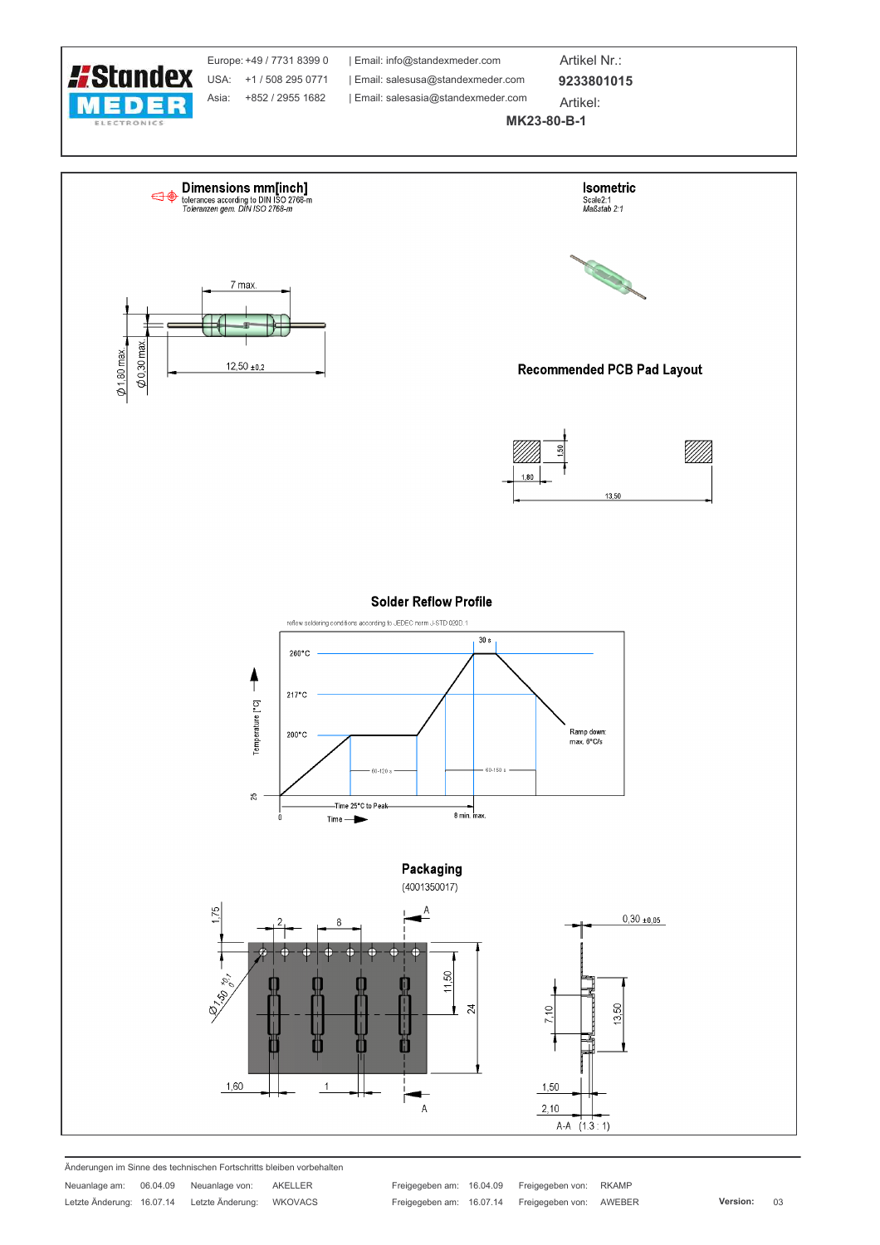

Änderungen im Sinne des technischen Fortschritts bleiben vorbehalten

Neuanlage am: 06.04.09 Neuanlage von: AKELLER Letzte Änderung: 16.07.14 Letzte Änderung: WKOVACS Freigegeben am: 16.04.09 Freigegeben von: RKAMP Freigegeben am: 16.07.14 Freigegeben von: AWEBER